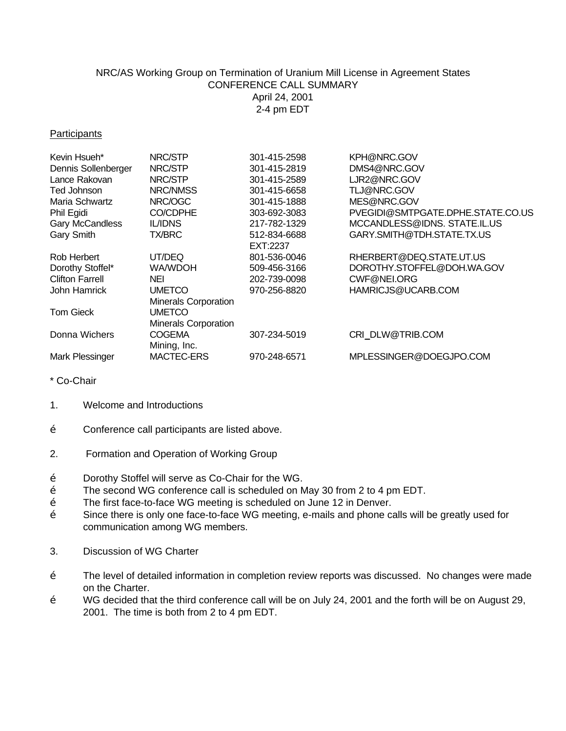## NRC/AS Working Group on Termination of Uranium Mill License in Agreement States CONFERENCE CALL SUMMARY April 24, 2001 2-4 pm EDT

## **Participants**

| Kevin Hsueh*           | NRC/STP                     | 301-415-2598 | KPH@NRC.GOV                       |
|------------------------|-----------------------------|--------------|-----------------------------------|
| Dennis Sollenberger    | NRC/STP                     | 301-415-2819 | DMS4@NRC.GOV                      |
| Lance Rakovan          | NRC/STP                     | 301-415-2589 | LJR2@NRC.GOV                      |
| Ted Johnson            | NRC/NMSS                    | 301-415-6658 | TLJ@NRC.GOV                       |
| Maria Schwartz         | NRC/OGC                     | 301-415-1888 | MES@NRC.GOV                       |
| Phil Egidi             | CO/CDPHE                    | 303-692-3083 | PVEGIDI@SMTPGATE.DPHE.STATE.CO.US |
| Gary McCandless        | <b>IL/IDNS</b>              | 217-782-1329 | MCCANDLESS@IDNS. STATE.IL.US      |
| Gary Smith             | <b>TX/BRC</b>               | 512-834-6688 | GARY.SMITH@TDH.STATE.TX.US        |
|                        |                             | EXT:2237     |                                   |
| Rob Herbert            | UT/DEQ                      | 801-536-0046 | RHERBERT@DEQ.STATE.UT.US          |
| Dorothy Stoffel*       | WA/WDOH                     | 509-456-3166 | DOROTHY.STOFFEL@DOH.WA.GOV        |
| <b>Clifton Farrell</b> | <b>NEI</b>                  | 202-739-0098 | CWF@NEI.ORG                       |
| John Hamrick           | <b>UMETCO</b>               | 970-256-8820 | HAMRICJS@UCARB.COM                |
|                        | <b>Minerals Corporation</b> |              |                                   |
| <b>Tom Gieck</b>       | UMETCO                      |              |                                   |
|                        | <b>Minerals Corporation</b> |              |                                   |
| Donna Wichers          | <b>COGEMA</b>               | 307-234-5019 | CRI DLW@TRIB.COM                  |
|                        | Mining, Inc.                |              |                                   |
| Mark Plessinger        | MACTEC-ERS                  | 970-248-6571 | MPLESSINGER@DOEGJPO.COM           |
|                        |                             |              |                                   |

\* Co-Chair

- 1. Welcome and Introductions
- Ž Conference call participants are listed above.
- 2. Formation and Operation of Working Group
- Ž Dorothy Stoffel will serve as Co-Chair for the WG.
- $\check{Z}$  The second WG conference call is scheduled on May 30 from 2 to 4 pm EDT.<br> $\check{Z}$  The first face-to-face WG meeting is scheduled on June 12 in Denver.
- The first face-to-face WG meeting is scheduled on June 12 in Denver.
- Ž Since there is only one face-to-face WG meeting, e-mails and phone calls will be greatly used for communication among WG members.
- 3. Discussion of WG Charter
- Ž The level of detailed information in completion review reports was discussed. No changes were made on the Charter.
- Ž WG decided that the third conference call will be on July 24, 2001 and the forth will be on August 29, 2001. The time is both from 2 to 4 pm EDT.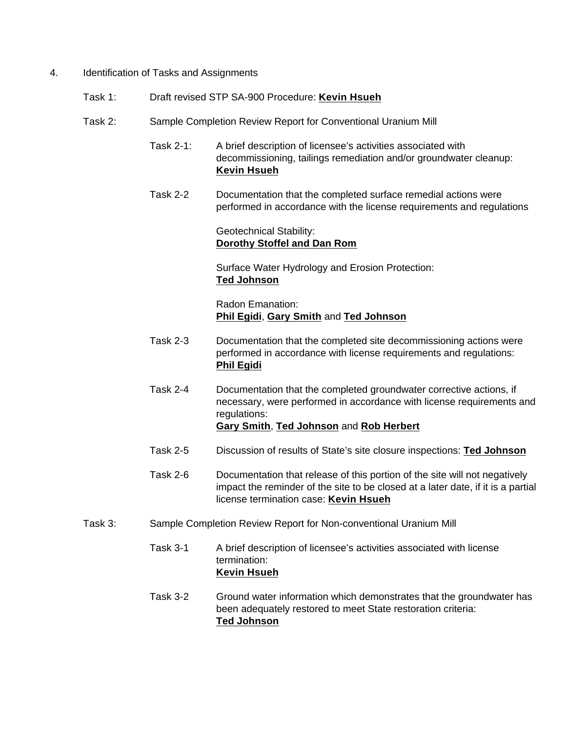- 4. Identification of Tasks and Assignments
	- Task 1: Draft revised STP SA-900 Procedure: **Kevin Hsueh**
	- Task 2: Sample Completion Review Report for Conventional Uranium Mill
		- Task 2-1: A brief description of licensee's activities associated with decommissioning, tailings remediation and/or groundwater cleanup: **Kevin Hsueh**
		- Task 2-2 Documentation that the completed surface remedial actions were performed in accordance with the license requirements and regulations

Geotechnical Stability: **Dorothy Stoffel and Dan Rom**

Surface Water Hydrology and Erosion Protection: **Ted Johnson**

Radon Emanation: **Phil Egidi**, **Gary Smith** and **Ted Johnson**

- Task 2-3 Documentation that the completed site decommissioning actions were performed in accordance with license requirements and regulations: **Phil Egidi**
- Task 2-4 Documentation that the completed groundwater corrective actions, if necessary, were performed in accordance with license requirements and regulations: **Gary Smith**, **Ted Johnson** and **Rob Herbert**
- Task 2-5 Discussion of results of State's site closure inspections: **Ted Johnson**
- Task 2-6 Documentation that release of this portion of the site will not negatively impact the reminder of the site to be closed at a later date, if it is a partial license termination case: **Kevin Hsueh**
- Task 3: Sample Completion Review Report for Non-conventional Uranium Mill
	- Task 3-1 A brief description of licensee's activities associated with license termination: **Kevin Hsueh**
	- Task 3-2 Ground water information which demonstrates that the groundwater has been adequately restored to meet State restoration criteria: **Ted Johnson**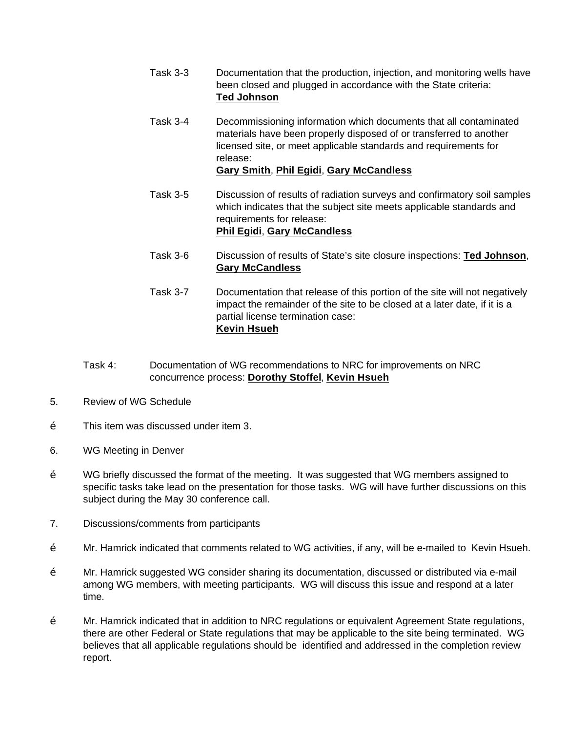- Task 3-3 Documentation that the production, injection, and monitoring wells have been closed and plugged in accordance with the State criteria: **Ted Johnson**
- Task 3-4 Decommissioning information which documents that all contaminated materials have been properly disposed of or transferred to another licensed site, or meet applicable standards and requirements for release: **Gary Smith**, **Phil Egidi**, **Gary McCandless**
- Task 3-5 Discussion of results of radiation surveys and confirmatory soil samples which indicates that the subject site meets applicable standards and requirements for release: **Phil Egidi**, **Gary McCandless**
- Task 3-6 Discussion of results of State's site closure inspections: **Ted Johnson**, **Gary McCandless**
- Task 3-7 Documentation that release of this portion of the site will not negatively impact the remainder of the site to be closed at a later date, if it is a partial license termination case: **Kevin Hsueh**
- Task 4: Documentation of WG recommendations to NRC for improvements on NRC concurrence process: **Dorothy Stoffel**, **Kevin Hsueh**
- 5. Review of WG Schedule
- $\check{Z}$  This item was discussed under item 3.
- 6. WG Meeting in Denver
- $\check{Z}$  WG briefly discussed the format of the meeting. It was suggested that WG members assigned to specific tasks take lead on the presentation for those tasks. WG will have further discussions on this subject during the May 30 conference call.
- 7. Discussions/comments from participants
- Ž Mr. Hamrick indicated that comments related to WG activities, if any, will be e-mailed to Kevin Hsueh.
- Ž Mr. Hamrick suggested WG consider sharing its documentation, discussed or distributed via e-mail among WG members, with meeting participants. WG will discuss this issue and respond at a later time.
- $\check{Z}$  Mr. Hamrick indicated that in addition to NRC regulations or equivalent Agreement State regulations, there are other Federal or State regulations that may be applicable to the site being terminated. WG believes that all applicable regulations should be identified and addressed in the completion review report.